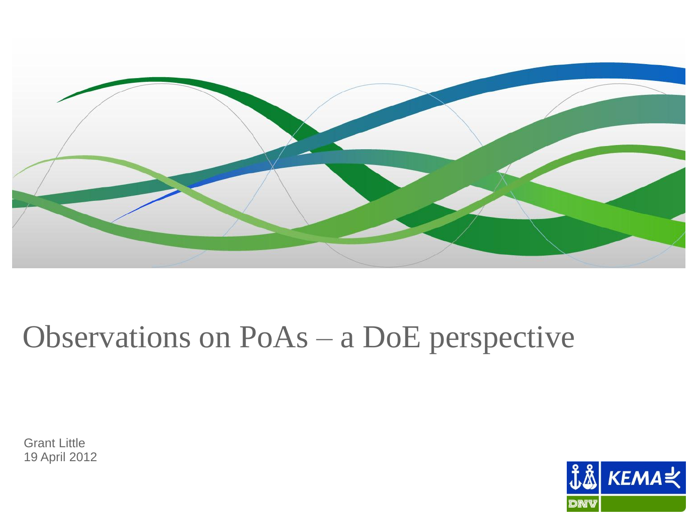

# Observations on PoAs - a DoE perspective

**Grant Little** 19 April 2012

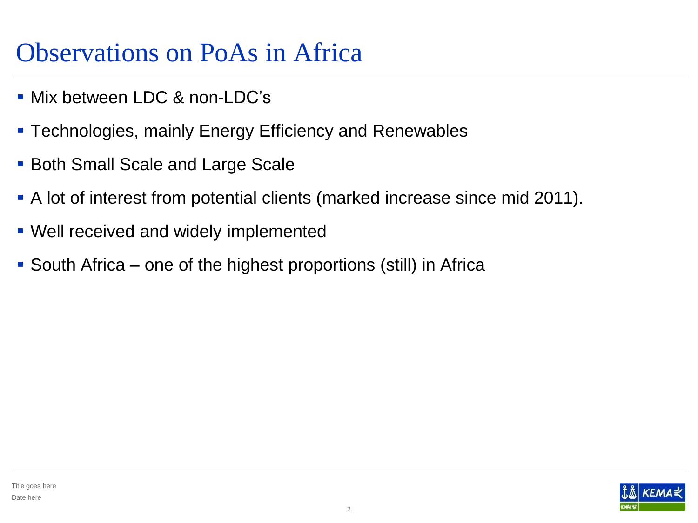#### Observations on PoAs in Africa

- **Mix between LDC & non-LDC's**
- Technologies, mainly Energy Efficiency and Renewables
- Both Small Scale and Large Scale
- A lot of interest from potential clients (marked increase since mid 2011).
- Well received and widely implemented
- South Africa one of the highest proportions (still) in Africa

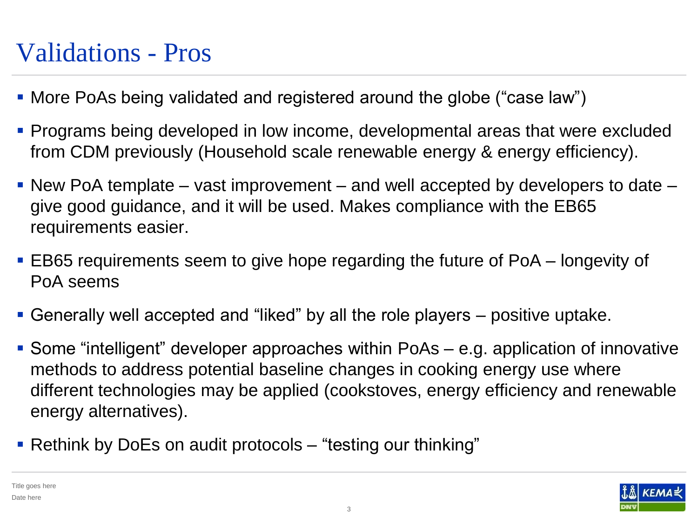#### Validations - Pros

- More PoAs being validated and registered around the globe ("case law")
- **Programs being developed in low income, developmental areas that were excluded** from CDM previously (Household scale renewable energy & energy efficiency).
- New PoA template vast improvement and well accepted by developers to date  $$ give good guidance, and it will be used. Makes compliance with the EB65 requirements easier.
- EB65 requirements seem to give hope regarding the future of PoA longevity of PoA seems
- Generally well accepted and "liked" by all the role players positive uptake.
- Some "intelligent" developer approaches within PoAs e.g. application of innovative methods to address potential baseline changes in cooking energy use where different technologies may be applied (cookstoves, energy efficiency and renewable energy alternatives).
- Rethink by DoEs on audit protocols "testing our thinking"

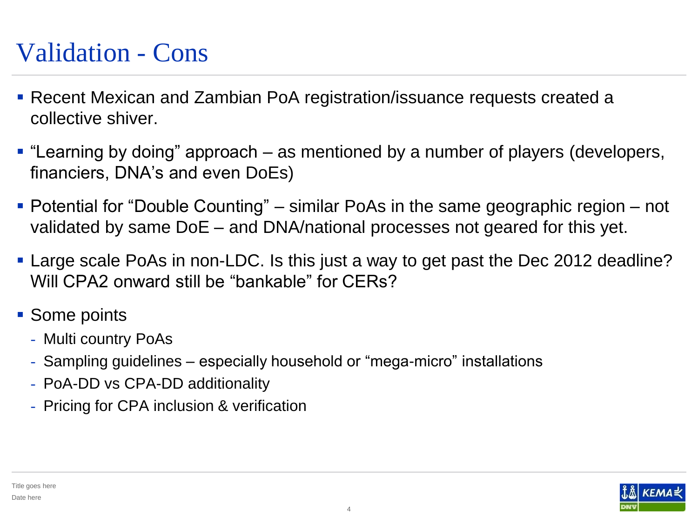#### Validation - Cons

- Recent Mexican and Zambian PoA registration/issuance requests created a collective shiver.
- "Learning by doing" approach as mentioned by a number of players (developers, financiers, DNA's and even DoEs)
- Potential for "Double Counting" similar PoAs in the same geographic region not validated by same DoE – and DNA/national processes not geared for this yet.
- **Large scale PoAs in non-LDC. Is this just a way to get past the Dec 2012 deadline?** Will CPA2 onward still be "bankable" for CERs?
- Some points
	- Multi country PoAs
	- Sampling guidelines especially household or "mega-micro" installations
	- PoA-DD vs CPA-DD additionality
	- Pricing for CPA inclusion & verification